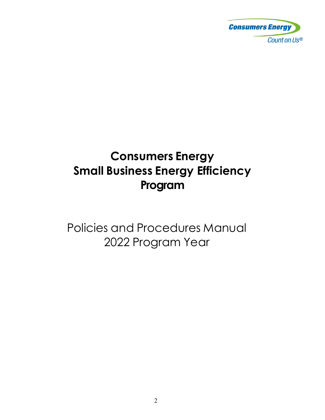

# **Consumers Energy Small Business Energy Efficiency Program**

Policies and Procedures Manual 2022 Program Year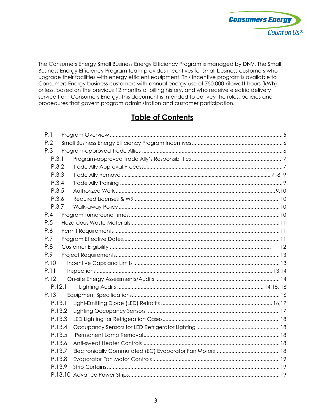

The Consumers Energy Small Business Energy Efficiency Program is managed by DNV. The Small Business Energy Efficiency Program team provides incentives for small business customers who upgrade their facilities with energy efficient equipment. This incentive program is available to Consumers Energy business customers with annual energy use of 750,000 kilowatt-hours (kWh) or less, based on the previous 12 months of billing history, and who receive electric delivery service from Consumers Energy. This document is intended to convey the rules, policies and procedures that govern program administration and customer participation.

### **Table of Contents**

| P.1    |  |  |  |  |
|--------|--|--|--|--|
| P.2    |  |  |  |  |
| P.3    |  |  |  |  |
| P.3.1  |  |  |  |  |
| P.3.2  |  |  |  |  |
| P.3.3  |  |  |  |  |
| P.3.4  |  |  |  |  |
| P.3.5  |  |  |  |  |
| P.3.6  |  |  |  |  |
| P.3.7  |  |  |  |  |
| P.4    |  |  |  |  |
| P.5    |  |  |  |  |
| P.6    |  |  |  |  |
| P.7    |  |  |  |  |
| P.8    |  |  |  |  |
| P.9    |  |  |  |  |
| P.10   |  |  |  |  |
| P.11   |  |  |  |  |
| P.12   |  |  |  |  |
| P.12.1 |  |  |  |  |
| P.13   |  |  |  |  |
| P.13.1 |  |  |  |  |
| P.13.2 |  |  |  |  |
| P.13.3 |  |  |  |  |
| P.13.4 |  |  |  |  |
| P.13.5 |  |  |  |  |
| P.13.6 |  |  |  |  |
| P.13.7 |  |  |  |  |
| P.13.8 |  |  |  |  |
| P.13.9 |  |  |  |  |
|        |  |  |  |  |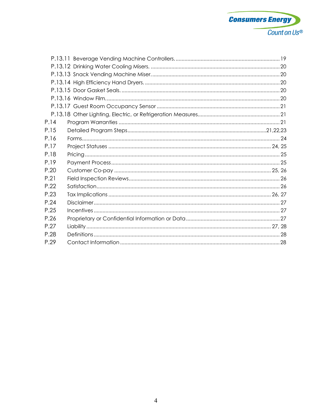

| P.14 |  |
|------|--|
| P.15 |  |
| P.16 |  |
| P.17 |  |
| P.18 |  |
| P.19 |  |
| P.20 |  |
| P.21 |  |
| P.22 |  |
| P.23 |  |
| P.24 |  |
| P.25 |  |
| P.26 |  |
| P.27 |  |
| P.28 |  |
| P.29 |  |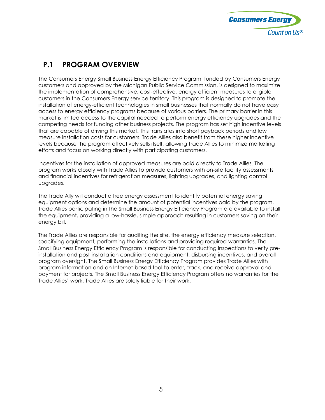

#### <span id="page-3-0"></span>**P.1 PROGRAM OVERVIEW**

The Consumers Energy Small Business Energy Efficiency Program, funded by Consumers Energy customers and approved by the Michigan Public Service Commission, is designed to maximize the implementation of comprehensive, cost-effective, energy efficient measures to eligible customers in the Consumers Energy service territory. This program is designed to promote the installation of energy-efficient technologies in small businesses that normally do not have easy access to energy efficiency programs because of various barriers. The primary barrier in this market is limited access to the capital needed to perform energy efficiency upgrades and the competing needs for funding other business projects. The program has set high incentive levels that are capable of driving this market. This translates into short payback periods and low measure installation costs for customers. Trade Allies also benefit from these higher incentive levels because the program effectively sells itself, allowing Trade Allies to minimize marketing efforts and focus on working directly with participating customers.

Incentives for the installation of approved measures are paid directly to Trade Allies. The program works closely with Trade Allies to provide customers with on-site facility assessments and financial incentives for refrigeration measures, lighting upgrades, and lighting control upgrades.

The Trade Ally will conduct a free energy assessment to identify potential energy saving equipment options and determine the amount of potential incentives paid by the program. Trade Allies participating in the Small Business Energy Efficiency Program are available to install the equipment, providing a low-hassle, simple approach resulting in customers saving on their energy bill.

<span id="page-3-1"></span>The Trade Allies are responsible for auditing the site, the energy efficiency measure selection, specifying equipment, performing the installations and providing required warranties. The Small Business Energy Efficiency Program is responsible for conducting inspections to verify preinstallation and post-installation conditions and equipment, disbursing incentives, and overall program oversight. The Small Business Energy Efficiency Program provides Trade Allies with program information and an Internet-based tool to enter, track, and receive approval and payment for projects. The Small Business Energy Efficiency Program offers no warranties for the Trade Allies' work. Trade Allies are solely liable for their work.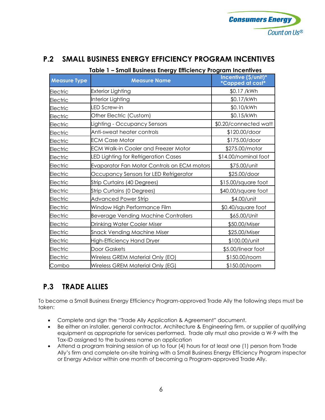

#### **P.2 SMALL BUSINESS ENERGY EFFICIENCY PROGRAM INCENTIVES**

| Table 1 – Small Business Energy Efficiency Program Incentives |                                             |                                          |  |  |
|---------------------------------------------------------------|---------------------------------------------|------------------------------------------|--|--|
| <b>Measure Type</b>                                           | <b>Measure Name</b>                         | Incentive (\$/unit)*<br>*Capped at cost* |  |  |
| Electric                                                      | Exterior Lighting                           | \$0.17 /kWh                              |  |  |
| Electric                                                      | Interior Lighting                           | \$0.17/kWh                               |  |  |
| Electric                                                      | LED Screw-in                                | \$0.10/kWh                               |  |  |
| Electric                                                      | Other Electric (Custom)                     | \$0.15/kWh                               |  |  |
| Electric                                                      | Lighting - Occupancy Sensors                | \$0.20/connected watt                    |  |  |
| Electric                                                      | Anti-sweat heater controls                  | \$120.00/door                            |  |  |
| Electric                                                      | <b>ECM Case Motor</b>                       | \$175.00/door                            |  |  |
| Electric                                                      | <b>ECM Walk-in Cooler and Freezer Motor</b> | \$275.00/motor                           |  |  |
| Electric                                                      | <b>ED Lighting for Refrigeration Cases</b>  | \$14.00/nominal foot                     |  |  |
| Electric                                                      | Evaporator Fan Motor Controls on ECM motors | \$75.00/unit                             |  |  |
| Electric                                                      | Occupancy Sensors for LED Refrigerator      | \$25.00/door                             |  |  |
| Electric                                                      | Strip Curtains (40 Degrees)                 | \$15.00/square foot                      |  |  |
| Electric                                                      | Strip Curtains (0 Degrees)                  | \$40.00/square foot                      |  |  |
| Electric                                                      | <b>Advanced Power Strip</b>                 | \$4.00/unit                              |  |  |
| Electric                                                      | Window High Performance Film                | \$0.40/square foot                       |  |  |
| Electric                                                      | <b>Beverage Vending Machine Controllers</b> | \$65.00/Unit                             |  |  |
| Electric                                                      | Drinking Water Cooler Miser                 | \$50.00/Miser                            |  |  |
| Electric                                                      | Snack Vending Machine Miser                 | \$25.00/Miser                            |  |  |
| Electric                                                      | High-Efficiency Hand Dryer                  | \$100.00/unit                            |  |  |
| <b>Electric</b>                                               | Door Gaskets                                | \$5.00/linear foot                       |  |  |
| Electric                                                      | Wireless GREM Material Only (EO)            | \$150.00/room                            |  |  |
| Combo                                                         | Wireless GREM Material Only (EG)            | \$150.00/room                            |  |  |

#### <span id="page-4-0"></span>**P.3 TRADE ALLIES**

To become a Small Business Energy Efficiency Program-approved Trade Ally the following steps must be taken:

- Complete and sign the "Trade Ally Application & Agreement" document.
- Be either an installer, general contractor, Architecture & Engineering firm, or supplier of qualifying equipment as appropriate for services performed. Trade ally must also provide a W-9 with the Tax-ID assigned to the business name on application
- <span id="page-4-1"></span>• Attend a program training session of up to four (4) hours for at least one (1) person from Trade Ally's firm and complete on-site training with a Small Business Energy Efficiency Program inspector or Energy Advisor within one month of becoming a Program-approved Trade Ally.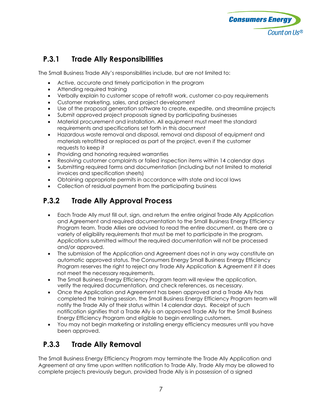

#### **P.3.1 Trade Ally Responsibilities**

The Small Business Trade Ally's responsibilities include, but are not limited to:

- Active, accurate and timely participation in the program
- Attending required training
- Verbally explain to customer scope of retrofit work, customer co-pay requirements
- Customer marketing, sales, and project development
- Use of the proposal generation software to create, expedite, and streamline projects
- Submit approved project proposals signed by participating businesses
- Material procurement and installation. All equipment must meet the standard requirements and specifications set forth in this document
- Hazardous waste removal and disposal, removal and disposal of equipment and materials retrofitted or replaced as part of the project, even if the customer requests to keep it
- Providing and honoring required warranties
- Resolving customer complaints or failed inspection items within 14 calendar days
- Submitting required forms and documentation (including but not limited to material invoices and specification sheets)
- Obtaining appropriate permits in accordance with state and local laws
- Collection of residual payment from the participating business

#### <span id="page-5-0"></span>**P.3.2 Trade Ally Approval Process**

- Each Trade Ally must fill out, sign, and return the entire original Trade Ally Application and Agreement and required documentation to the Small Business Energy Efficiency Program team. Trade Allies are advised to read the entire document, as there are a variety of eligibility requirements that must be met to participate in the program. Applications submitted without the required documentation will not be processed and/or approved.
- The submission of the Application and Agreement does not in any way constitute an automatic approved status. The Consumers Energy Small Business Energy Efficiency Program reserves the right to reject any Trade Ally Application & Agreement if it does not meet the necessary requirements.
- The Small Business Energy Efficiency Program team will review the application, verify the required documentation, and check references, as necessary.
- Once the Application and Agreement has been approved and a Trade Ally has completed the training session, the Small Business Energy Efficiency Program team will notify the Trade Ally of their status within 14 calendar days. Receipt of such notification signifies that a Trade Ally is an approved Trade Ally for the Small Business Energy Efficiency Program and eligible to begin enrolling customers.
- You may not begin marketing or installing energy efficiency measures until you have been approved.

#### <span id="page-5-1"></span>**P.3.3 Trade Ally Removal**

The Small Business Energy Efficiency Program may terminate the Trade Ally Application and Agreement at any time upon written notification to Trade Ally. Trade Ally may be allowed to complete projects previously begun, provided Trade Ally is in possession of a signed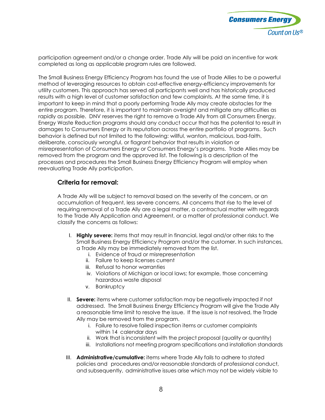

participation agreement and/or a change order. Trade Ally will be paid an incentive for work completed as long as applicable program rules are followed.

The Small Business Energy Efficiency Program has found the use of Trade Allies to be a powerful method of leveraging resources to obtain cost-effective energy-efficiency improvements for utility customers. This approach has served all participants well and has historically produced results with a high level of customer satisfaction and few complaints. At the same time, it is important to keep in mind that a poorly performing Trade Ally may create obstacles for the entire program. Therefore, it is important to maintain oversight and mitigate any difficulties as rapidly as possible. DNV reserves the right to remove a Trade Ally from all Consumers Energy, Energy Waste Reduction programs should any conduct occur that has the potential to result in damages to Consumers Energy or its reputation across the entire portfolio of programs. Such behavior is defined but not limited to the following: willful, wanton, malicious, bad-faith, deliberate, consciously wrongful, or flagrant behavior that results in violation or misrepresentation of Consumers Energy or Consumers Energy's programs. Trade Allies may be removed from the program and the approved list. The following is a description of the processes and procedures the Small Business Energy Efficiency Program will employ when reevaluating Trade Ally participation.

#### **Criteria for removal:**

A Trade Ally will be subject to removal based on the severity of the concern, or an accumulation of frequent, less severe concerns. All concerns that rise to the level of requiring removal of a Trade Ally are a legal matter, a contractual matter with regards to the Trade Ally Application and Agreement, or a matter of professional conduct. We classify the concerns as follows:

- I. **Highly severe:** items that may result in financial, legal and/or other risks to the Small Business Energy Efficiency Program and/or the customer. In such instances, a Trade Ally may be immediately removed from the list.
	- i. Evidence of fraud or misrepresentation
	- ii. Failure to keep licenses current
	- iii. Refusal to honor warranties
	- iv. Violations of Michigan or local laws; for example, those concerning hazardous waste disposal
	- v. Bankruptcy
- II. **Severe:** items where customer satisfaction may be negatively impacted if not addressed. The Small Business Energy Efficiency Program will give the Trade Ally a reasonable time limit to resolve the issue. If the issue is not resolved, the Trade Ally may be removed from the program.
	- i. Failure to resolve failed inspection items or customer complaints within 14 calendar days
	- ii. Work that is inconsistent with the project proposal (quality or quantity)
	- iii. Installations not meeting program specifications and installation standards
- III. **Administrative/cumulative:** items where Trade Ally fails to adhere to stated policies and procedures and/or reasonable standards of professional conduct, and subsequently, administrative issues arise which may not be widely visible to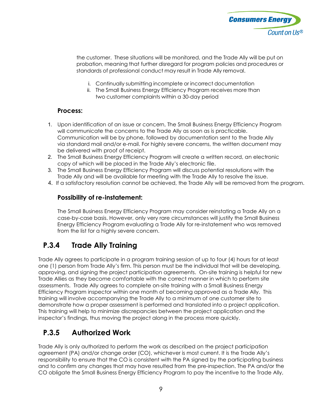

the customer. These situations will be monitored, and the Trade Ally will be put on probation, meaning that further disregard for program policies and procedures or standards of professional conduct may result in Trade Ally removal.

- i. Continually submitting incomplete or incorrect documentation
- ii. The Small Business Energy Efficiency Program receives more than two customer complaints within a 30-day period

#### **Process:**

- 1. Upon identification of an issue or concern, The Small Business Energy Efficiency Program will communicate the concerns to the Trade Ally as soon as is practicable. Communication will be by phone, followed by documentation sent to the Trade Ally via standard mail and/or e-mail. For highly severe concerns, the written document may be delivered with proof of receipt.
- 2. The Small Business Energy Efficiency Program will create a written record, an electronic copy of which will be placed in the Trade Ally's electronic file.
- 3. The Small Business Energy Efficiency Program will discuss potential resolutions with the Trade Ally and will be available for meeting with the Trade Ally to resolve the issue.
- 4. If a satisfactory resolution cannot be achieved, the Trade Ally will be removed from the program.

#### **Possibility of re-instatement:**

The Small Business Energy Efficiency Program may consider reinstating a Trade Ally on a case-by-case basis. However, only very rare circumstances will justify the Small Business Energy Efficiency Program evaluating a Trade Ally for re-instatement who was removed from the list for a highly severe concern.

#### **P.3.4 Trade Ally Training**

<span id="page-7-0"></span>Trade Ally agrees to participate in a program training session of up to four (4) hours for at least one (1) person from Trade Ally's firm. This person must be the individual that will be developing, approving, and signing the project participation agreements. On-site training is helpful for new Trade Allies as they become comfortable with the correct manner in which to perform site assessments. Trade Ally agrees to complete on-site training with a Small Business Energy Efficiency Program inspector within one month of becoming approved as a Trade Ally. This training will involve accompanying the Trade Ally to a minimum of one customer site to demonstrate how a proper assessment is performed and translated into a project application. This training will help to minimize discrepancies between the project application and the inspector's findings, thus moving the project along in the process more quickly.

#### **P.3.5 Authorized Work**

<span id="page-7-1"></span>Trade Ally is only authorized to perform the work as described on the project participation agreement (PA) and/or change order (CO), whichever is most current. It is the Trade Ally's responsibility to ensure that the CO is consistent with the PA signed by the participating business and to confirm any changes that may have resulted from the pre-inspection. The PA and/or the CO obligate the Small Business Energy Efficiency Program to pay the incentive to the Trade Ally,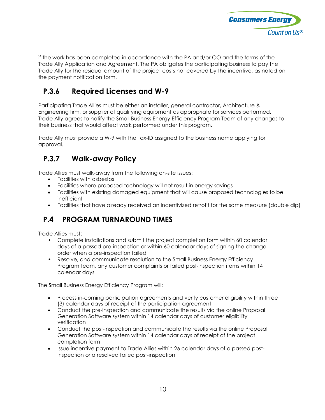

if the work has been completed in accordance with the PA and/or CO and the terms of the Trade Ally Application and Agreement. The PA obligates the participating business to pay the Trade Ally for the residual amount of the project costs not covered by the incentive, as noted on the payment notification form.

### **P.3.6 Required Licenses and W-9**

<span id="page-8-0"></span>Participating Trade Allies must be either an installer, general contractor, Architecture & Engineering firm, or supplier of qualifying equipment as appropriate for services performed. Trade Ally agrees to notify the Small Business Energy Efficiency Program Team of any changes to their business that would affect work performed under this program.

Trade Ally must provide a W-9 with the Tax-ID assigned to the business name applying for approval.

#### **P.3.7 Walk-away Policy**

<span id="page-8-1"></span>Trade Allies must walk-away from the following on-site issues:

- Facilities with asbestos
- Facilities where proposed technology will not result in energy savings
- Facilities with existing damaged equipment that will cause proposed technologies to be inefficient
- Facilities that have already received an incentivized retrofit for the same measure (double dip)

### <span id="page-8-2"></span>**P.4 PROGRAM TURNAROUND TIMES**

Trade Allies must:

- Complete installations and submit the project completion form within 60 calendar days of a passed pre-inspection or within 60 calendar days of signing the change order when a pre-inspection failed
- Resolve, and communicate resolution to the Small Business Energy Efficiency Program team, any customer complaints or failed post-inspection items within 14 calendar days

The Small Business Energy Efficiency Program will:

- Process in-coming participation agreements and verify customer eligibility within three (3) calendar days of receipt of the participation agreement
- Conduct the pre-inspection and communicate the results via the online Proposal Generation Software system within 14 calendar days of customer eligibility verification
- Conduct the post-inspection and communicate the results via the online Proposal Generation Software system within 14 calendar days of receipt of the project completion form
- Issue incentive payment to Trade Allies within 26 calendar days of a passed postinspection or a resolved failed post-inspection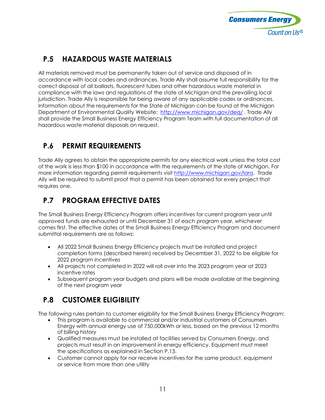

### **P.5 HAZARDOUS WASTE MATERIALS**

<span id="page-9-0"></span>All materials removed must be permanently taken out of service and disposed of in accordance with local codes and ordinances. Trade Ally shall assume full responsibility for the correct disposal of all ballasts, fluorescent tubes and other hazardous waste material in compliance with the laws and regulations of the state of Michigan and the prevailing local jurisdiction. Trade Ally is responsible for being aware of any applicable codes or ordinances. Information about the requirements for the State of Michigan can be found at the Michigan Department of Environmental Quality Website: <http://www.michigan.gov/deq/>. Trade Ally shall provide the Small Business Energy Efficiency Program Team with full documentation of all hazardous waste material disposals on request.

#### **P.6 PERMIT REQUIREMENTS**

<span id="page-9-1"></span>Trade Ally agrees to obtain the appropriate permits for any electrical work unless the total cost of the work is less than \$100 in accordance with the requirements of the state of Michigan. For more information regarding permit requirements visit [http://www.michigan.gov/lara.](http://www.michigan.gov/lara) Trade Ally will be required to submit proof that a permit has been obtained for every project that requires one.

### **P.7 PROGRAM EFFECTIVE DATES**

<span id="page-9-2"></span>The Small Business Energy Efficiency Program offers incentives for current program year until approved funds are exhausted or until December 31 of each program year, whichever comes first. The effective dates of the Small Business Energy Efficiency Program and document submittal requirements are as follows:

- All 2022 Small Business Energy Efficiency projects must be installed and project completion forms (described herein) received by December 31, 2022 to be eligible for 2022 program incentives
- All projects not completed in 2022 will roll over into the 2023 program year at 2023 incentive rates
- Subsequent program year budgets and plans will be made available at the beginning of the next program year

### **P.8 CUSTOMER ELIGIBILITY**

<span id="page-9-3"></span>The following rules pertain to customer eligibility for the Small Business Energy Efficiency Program:

- This program is available to commercial and/or industrial customers of Consumers Energy with annual energy use of 750,000kWh or less, based on the previous 12 months of billing history
- Qualified measures must be installed at facilities served by Consumers Energy, and projects must result in an improvement in energy efficiency. Equipment must meet the specifications as explained in Section P.13.
- Customer cannot apply for nor receive incentives for the same product, equipment or service from more than one utility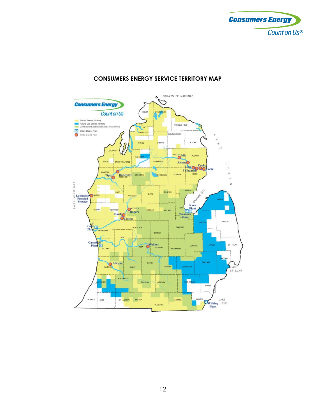



#### **CONSUMERS ENERGY SERVICE TERRITORY MAP**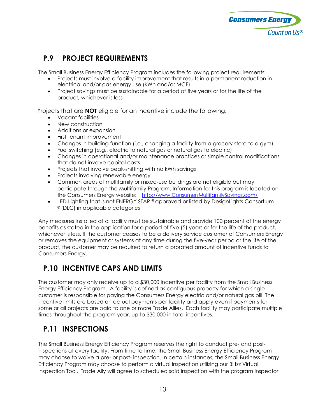

#### **P.9 PROJECT REQUIREMENTS**

<span id="page-11-0"></span>The Small Business Energy Efficiency Program includes the following project requirements:

- Projects must involve a facility improvement that results in a permanent reduction in electrical and/or gas energy use (kWh and/or MCF)
- Project savings must be sustainable for a period of five years or for the life of the product, whichever is less

Projects that are **NOT** eligible for an incentive include the following:

- Vacant facilities
- New construction
- Additions or expansion
- First tenant improvement
- Changes in building function (i.e., changing a facility from a grocery store to a gym)
- Fuel switching (e.g., electric to natural gas or natural gas to electric)
- Changes in operational and/or maintenance practices or simple control modifications that do not involve capital costs
- Projects that involve peak-shifting with no kWh savings
- Projects involving renewable energy
- Common areas of multifamily or mixed-use buildings are not eligible but may participate through the Multifamily Program. Information for this program is located on the Consumers Energy website: [http://www.ConsumersMultifamilySavings.com/](http://www.consumersmultifamilysavings.com/)
- LED Lighting that is not ENERGY STAR  $^{\circ}$  approved or listed by DesignLights Consortium ® (DLC) in applicable categories

Any measures installed at a facility must be sustainable and provide 100 percent of the energy benefits as stated in the application for a period of five (5) years or for the life of the product, whichever is less. If the customer ceases to be a delivery service customer of Consumers Energy or removes the equipment or systems at any time during the five-year period or the life of the product, the customer may be required to return a prorated amount of incentive funds to Consumers Energy.

### **P.10 INCENTIVE CAPS AND LIMITS**

<span id="page-11-1"></span>The customer may only receive up to a \$30,000 incentive per facility from the Small Business Energy Efficiency Program. A facility is defined as contiguous property for which a single customer is responsible for paying the Consumers Energy electric and/or natural gas bill. The incentive limits are based on actual payments per facility and apply even if payments for some or all projects are paid to one or more Trade Allies. Each facility may participate multiple times throughout the program year, up to \$30,000 in total incentives.

### **P.11 INSPECTIONS**

<span id="page-11-2"></span>The Small Business Energy Efficiency Program reserves the right to conduct pre- and postinspections at every facility. From time to time, the Small Business Energy Efficiency Program may choose to waive a pre- or post- inspection. In certain instances, the Small Business Energy Efficiency Program may choose to perform a virtual inspection utilizing our Blitzz Virtual Inspection Tool. Trade Ally will agree to scheduled said inspection with the program inspector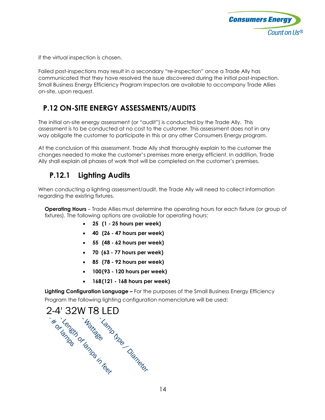

if the virtual inspection is chosen.

Failed post-inspections may result in a secondary "re-inspection" once a Trade Ally has communicated that they have resolved the issue discovered during the initial post-inspection. Small Business Energy Efficiency Program Inspectors are available to accompany Trade Allies on-site, upon request.

#### **P.12 ON-SITE ENERGY ASSESSMENTS/AUDITS**

<span id="page-12-0"></span>The initial on-site energy assessment (or "audit") is conducted by the Trade Ally. This assessment is to be conducted at no cost to the customer. This assessment does not in any way obligate the customer to participate in this or any other Consumers Energy program.

At the conclusion of this assessment, Trade Ally shall thoroughly explain to the customer the changes needed to make the customer's premises more energy efficient. In addition, Trade Ally shall explain all phases of work that will be completed on the customer's premises.

### **P.12.1 Lighting Audits**

When conducting a lighting assessment/audit, the Trade Ally will need to collect information regarding the existing fixtures.

**Operating Hours** – Trade Allies must determine the operating hours for each fixture (or group of fixtures). The following options are available for operating hours:

- <span id="page-12-1"></span>• **25 (1 - 25 hours per week)**
- **40 (26 47 hours per week)**
- **55 (48 62 hours per week)**
- **70 (63 77 hours per week)**
- **85 (78 92 hours per week)**
- **100 (93 120 hours per week)**
- 

**Lighting Configuration Language –** For the purposes of the Small Business Energy Efficiency Program the following lighting configuration nomenclature will be used:

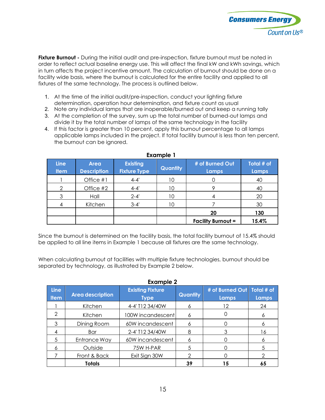

**Fixture Burnout -** During the initial audit and pre-inspection, fixture burnout must be noted in order to reflect actual baseline energy use. This will affect the final kW and kWh savings, which in turn affects the project incentive amount. The calculation of burnout should be done on a facility wide basis, where the burnout is calculated for the entire facility and applied to all fixtures of the same technology. The process is outlined below.

- 1. At the time of the initial audit/pre-inspection, conduct your lighting fixture determination, operation hour determination, and fixture count as usual
- 2. Note any individual lamps that are inoperable/burned out and keep a running tally
- 3. At the completion of the survey, sum up the total number of burned-out lamps and divide it by the total number of lamps of the same technology in the facility
- 4. If this factor is greater than 10 percent, apply this burnout percentage to all lamps applicable lamps included in the project. If total facility burnout is less than ten percent, the burnout can be ignored.

| <b>Line</b><br><b>Item</b> | Area<br><b>Description</b> | <b>Existing</b><br><b>Fixture Type</b> | Quantity | # of Burned Out<br>Lamps  | Total # of<br><b>Lamps</b> |
|----------------------------|----------------------------|----------------------------------------|----------|---------------------------|----------------------------|
|                            | Office #1                  | $4 - 4'$                               | 10       |                           | 40                         |
| ာ                          | Office #2                  | $4 - 4'$                               | 10       |                           | 40                         |
| 3                          | Hall                       | $2 - 4'$                               | 10       |                           | 20                         |
|                            | Kitchen                    | $3 - 4'$                               | 10       |                           | 30                         |
|                            |                            |                                        |          | 20                        | 130                        |
|                            |                            |                                        |          | <b>Facility Burnout =</b> | 15.4%                      |

 **Example 1**

Since the burnout is determined on the facility basis, the total facility burnout of 15.4% should be applied to all line items in Example 1 because all fixtures are the same technology.

When calculating burnout at facilities with multiple fixture technologies, burnout should be separated by technology, as illustrated by Example 2 below.

| <b>Example 2</b>           |                         |                                        |                 |                                       |       |
|----------------------------|-------------------------|----------------------------------------|-----------------|---------------------------------------|-------|
| <b>Line</b><br><b>Item</b> | <b>Area description</b> | <b>Existing Fixture</b><br><b>Type</b> | <b>Quantity</b> | # of Burned Out   Total # of<br>Lamps | Lamps |
|                            | Kitchen                 | 4-4' T12 34/40W                        | 6               | 12                                    | 24    |
| $\mathcal{P}$              | Kitchen                 | 100W incandescent                      | 6               |                                       | 6     |
| 3                          | Dining Room             | 60W incandescent                       | 6               |                                       | 6     |
| 4                          | Bar                     | 2-4' T12 34/40W                        | 8               |                                       | 16    |
| 5                          | Entrance Way            | 60W incandescent                       | 6               |                                       | 6     |
| 6                          | Outside                 | 75W H-PAR                              | 5               |                                       | 5     |
|                            | Front & Back            | Exit Sign 30W                          | $\mathcal{P}$   |                                       | っ     |
|                            | <b>Totals</b>           |                                        | 39              | 15                                    | 65    |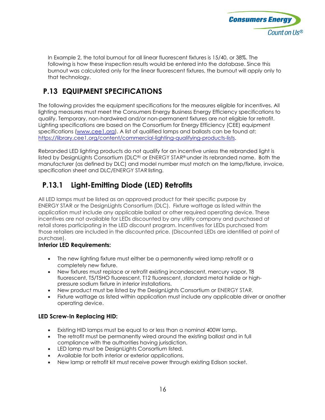

In Example 2, the total burnout for all linear fluorescent fixtures is 15/40, or 38%. The following is how these inspection results would be entered into the database. Since this burnout was calculated only for the linear fluorescent fixtures, the burnout will apply only to that technology.

### **P.13 EQUIPMENT SPECIFICATIONS**

<span id="page-14-0"></span>The following provides the equipment specifications for the measures eligible for incentives. All lighting measures must meet the Consumers Energy Business Energy Efficiency specifications to qualify. Temporary, non-hardwired and/or non-permanent fixtures are not eligible for retrofit. Lighting specifications are based on the Consortium for Energy Efficiency (CEE) equipment specifications [\(www.cee1.org\)](https://dnv-my.sharepoint.com/personal/melissa_kelley_dnvgl_com/Documents/Hard%20Drive%20Documents/Program%20Flyers/Small%20Business/www.cee1.org). A list of qualified lamps and ballasts can be found at: [https://library.cee1.org/content/commercial-lighting-qualifying-products-lists.](https://library.cee1.org/content/commercial-lighting-qualifying-products-lists)

Rebranded LED lighting products do not qualify for an incentive unless the rebranded light is listed by DesignLights Consortium (DLC®) or ENERGY STAR® under its rebranded name. Both the manufacturer (as defined by DLC) and model number must match on the lamp/fixture, invoice, specification sheet and DLC/ENERGY STAR listing.

### **P.13.1 Light-Emitting Diode (LED) Retrofits**

All LED lamps must be listed as an approved product for their specific purpose by ENERGY STAR or the DesignLights Consortium (DLC). Fixture wattage as listed within the application must include any applicable ballast or other required operating device. These incentives are not available for LEDs discounted by any utility company and purchased at retail stores participating in the LED discount program. Incentives for LEDs purchased from those retailers are included in the discounted price. (Discounted LEDs are identified at point of purchase).

#### **Interior LED Requirements:**

- The new lighting fixture must either be a permanently wired lamp retrofit or a completely new fixture.
- New fixtures must replace or retrofit existing incandescent, mercury vapor, T8 fluorescent, T5/T5HO fluorescent, T12 fluorescent, standard metal halide or highpressure sodium fixture in interior installations.
- New product must be listed by the DesignLights Consortium or ENERGY STAR.
- Fixture wattage as listed within application must include any applicable driver or another operating device.

#### **LED Screw-In Replacing HID:**

- Existing HID lamps must be equal to or less than a nominal 400W lamp.
- The retrofit must be permanently wired around the existing ballast and in full compliance with the authorities having jurisdiction.
- LED lamp must be DesignLights Consortium listed.
- Available for both interior or exterior applications.
- New lamp or retrofit kit must receive power through existing Edison socket.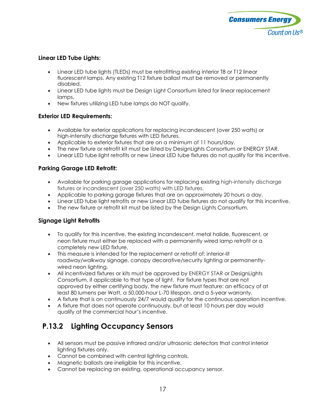

#### **Linear LED Tube Lights:**

- Linear LED tube lights (TLEDs) must be retrofitting existing interior T8 or T12 linear fluorescent lamps. Any existing T12 fixture ballast must be removed or permanently disabled.
- Linear LED tube lights must be Design Light Consortium listed for linear replacement lamps.
- New fixtures utilizing LED tube lamps do NOT qualify.

#### **Exterior LED Requirements:**

- Available for exterior applications for replacing incandescent (over 250 watts) or high-intensity discharge fixtures with LED fixtures.
- Applicable to exterior fixtures that are on a minimum of 11 hours/day.
- The new fixture or retrofit kit must be listed by DesignLights Consortium or ENERGY STAR.
- Linear LED tube light retrofits or new Linear LED tube fixtures do not qualify for this incentive.

#### **Parking Garage LED Retrofit:**

- Available for parking garage applications for replacing existing high-intensity discharge fixtures or incandescent (over 250 watts) with LED fixtures.
- Applicable to parking garage fixtures that are on approximately 20 hours a day.
- Linear LED tube light retrofits or new Linear LED tube fixtures do not qualify for this incentive.
- The new fixture or retrofit kit must be listed by the Design Lights Consortium.

#### **Signage Light Retrofits**

- To qualify for this incentive, the existing incandescent, metal halide, fluorescent, or neon fixture must either be replaced with a permanently wired lamp retrofit or a completely new LED fixture.
- This measure is intended for the replacement or retrofit of: interior-lit roadway/walkway signage, canopy decorative/security lighting or permanentlywired neon lighting.
- All incentivized fixtures or kits must be approved by ENERGY STAR or DesignLights Consortium, if applicable to that type of light. For fixture types that are not approved by either certifying body, the new fixture must feature: an efficacy of at least 80 lumens per Watt, a 50,000-hour L-70 lifespan, and a 5-year warranty.
- A fixture that is on continuously 24/7 would qualify for the continuous operation incentive.
- A fixture that does not operate continuously, but at least 10 hours per day would qualify at the commercial hour's incentive.

#### **P.13.2 Lighting Occupancy Sensors**

- All sensors must be passive infrared and/or ultrasonic detectors that control interior lighting fixtures only.
- Cannot be combined with central lighting controls.
- Magnetic ballasts are ineligible for this incentive.
- Cannot be replacing an existing, operational occupancy sensor.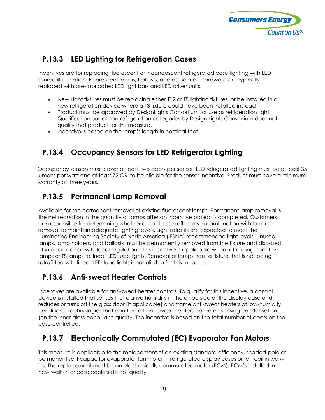

### **P.13.3 LED Lighting for Refrigeration Cases**

Incentives are for replacing fluorescent or incandescent refrigerated case lighting with LED source illumination. Fluorescent lamps, ballasts, and associated hardware are typically replaced with pre-fabricated LED light bars and LED driver units.

- New Light fixtures must be replacing either T12 or T8 lighting fixtures, or be installed in a new refrigeration device where a T8 fixture could have been installed instead
- Product must be approved by DesignLights Consortium for use as refrigeration light. Qualification under non-refrigeration categories by Design Lights Consortium does not qualify that product for this measure.
- Incentive is based on the lamp's length in nominal feet.

### **P.13.4 Occupancy Sensors for LED Refrigerator Lighting**

Occupancy sensors must cover at least two doors per sensor. LED refrigerated lighting must be at least 35 lumens per watt and at least 72 CRI to be eligible for the sensor incentive. Product must have a minimum warranty of three years.

#### **P.13.5 Permanent Lamp Removal**

Available for the permanent removal of existing fluorescent lamps. Permanent lamp removal is the net reduction in the quantity of lamps after an incentive project is completed. Customers are responsible for determining whether or not to use reflectors in combination with lamp removal to maintain adequate lighting levels. Light retrofits are expected to meet the Illuminating Engineering Society of North America (IESNA) recommended light levels. Unused lamps, lamp holders, and ballasts must be permanently removed from the fixture and disposed of in accordance with local regulations. This incentive is applicable when retrofitting from T12 lamps or T8 lamps to linear LED tube lights. Removal of lamps from a fixture that is not being retrofitted with linear LED tube lights is not eligible for this measure.

### **P.13.6 Anti-sweat Heater Controls**

Incentives are available for anti-sweat heater controls. To qualify for this incentive, a control device is installed that senses the relative humidity in the air outside of the display case and reduces or turns off the glass door (if applicable) and frame anti-sweat heaters at low-humidity conditions. Technologies that can turn off anti-sweat heaters based on sensing condensation (on the inner glass pane) also qualify. The incentive is based on the total number of doors on the case controlled.

### **P.13.7 Electronically Commutated (EC) Evaporator Fan Motors**

This measure is applicable to the replacement of an existing standard efficiency, shaded-pole or permanent split capacitor evaporator fan motor in refrigerated display cases or fan coil in walkins. The replacement must be an electronically commutated motor (ECM). ECM's installed in new walk-in or case coolers do not qualify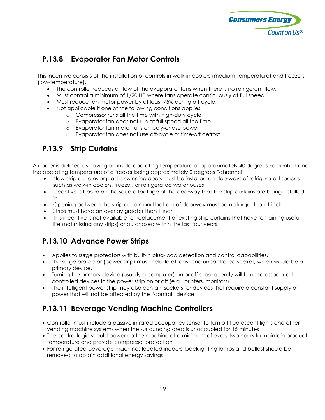

### **P.13.8 Evaporator Fan Motor Controls**

This incentive consists of the installation of controls in walk-in coolers (medium-temperature) and freezers (low-temperature).

- The controller reduces airflow of the evaporator fans when there is no refrigerant flow.
- Must control a minimum of 1/20 HP where fans operate continuously at full speed.
- Must reduce fan motor power by at least 75% during off cycle.
- Not applicable if one of the following conditions applies:
	- o Compressor runs all the time with high-duty cycle
	- o Evaporator fan does not run at full speed all the time
	- o Evaporator fan motor runs on poly-chase power
	- o Evaporator fan does not use off-cycle or time-off defrost

#### **P.13.9 Strip Curtains**

A cooler is defined as having an inside operating temperature of approximately 40 degrees Fahrenheit and the operating temperature of a freezer being approximately 0 degrees Fahrenheit

- New strip curtains or plastic swinging doors must be installed on doorways of refrigerated spaces such as walk-in coolers, freezer, or refrigerated warehouses
- Incentive is based on the square footage of the doorway that the strip curtains are being installed in
- Opening between the strip curtain and bottom of doorway must be no larger than 1 inch
- Strips must have an overlay greater than 1 inch
- This incentive is not available for replacement of existing strip curtains that have remaining useful life (not missing any strips) or purchased within the last four years.

#### **P.13.10 Advance Power Strips**

- Applies to surge protectors with built-in plug-load detection and control capabilities.
- The surge protector (power strip) must include at least one uncontrolled socket, which would be a primary device.
- Turning the primary device (usually a computer) on or off subsequently will turn the associated controlled devices in the power strip on or off (e.g., printers, monitors)
- The intelligent power strip may also contain sockets for devices that require a constant supply of power that will not be affected by the "control" device

#### **P.13.11 Beverage Vending Machine Controllers**

- Controller must include a passive infrared occupancy sensor to turn off fluorescent lights and other vending machine systems when the surrounding area is unoccupied for 15 minutes
- The control logic should power up the machine at a minimum of every two hours to maintain product temperature and provide compressor protection
- For refrigerated beverage machines located indoors, backlighting lamps and ballast should be removed to obtain additional energy savings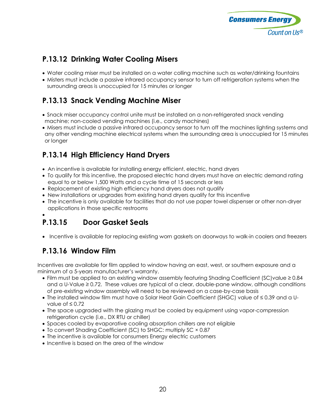

### **P.13.12 Drinking Water Cooling Misers**

- Water cooling miser must be installed on a water colling machine such as water/drinking fountains
- Misters must include a passive infrared occupancy sensor to turn off refrigeration systems when the surrounding areas is unoccupied for 15 minutes or longer

### **P.13.13 Snack Vending Machine Miser**

- Snack miser occupancy control unite must be installed on a non-refrigerated snack vending machine; non-cooled vending machines (i.e., candy machines)
- Misers must include a passive infrared occupancy sensor to turn off the machines lighting systems and any other vending machine electrical systems when the surrounding area is unoccupied for 15 minutes or longer

### **P.13.14 High Efficiency Hand Dryers**

- An incentive is available for installing energy efficient, electric, hand dryers
- To qualify for this incentive, the proposed electric hand dryers must have an electric demand rating equal to or below 1,500 Watts and a cycle time of 15 seconds or less
- Replacement of existing high efficiency hand dryers does not qualify
- New installations or upgrades from existing hand dryers qualify for this incentive
- The incentive is only available for facilities that do not use paper towel dispenser or other non-dryer applications in those specific restrooms
- •

## **P.13.15 Door Gasket Seals**

• Incentive is available for replacing existing worn gaskets on doorways to walk-in coolers and freezers

### **P.13.16 Window Film**

Incentives are available for film applied to window having an east, west, or southern exposure and a minimum of a 5-years manufacturer's warranty.

- Film must be applied to an existing window assembly featuring Shading Coefficient (SC)value ≥ 0.84 and a U-Value ≥ 0.72. These values are typical of a clear, double-pane window, although conditions of pre-existing window assembly will need to be reviewed on a case-by-case basis
- The installed window film must have a Solar Heat Gain Coefficient (SHGC) value of ≤ 0.39 and a Uvalue of ≤ 0.72
- The space upgraded with the glazing must be cooled by equipment using vapor-compression refrigeration cycle (i.e., DX RTU or chiller)
- Spaces cooled by evaporative cooling absorption chillers are not eligible
- To convert Shading Coefficient (SC) to SHGC: multiply SC × 0.87
- The incentive is available for consumers Energy electric customers
- Incentive is based on the area of the window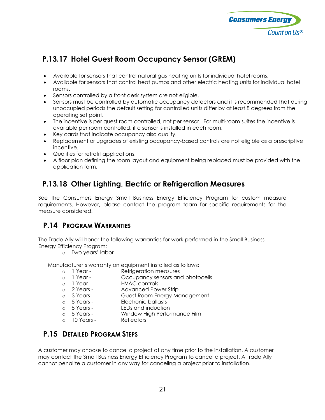

### **P.13.17 Hotel Guest Room Occupancy Sensor (GREM)**

- Available for sensors that control natural gas heating units for individual hotel rooms.
- Available for sensors that control heat pumps and other electric heating units for individual hotel rooms.
- Sensors controlled by a front desk system are not eligible.
- Sensors must be controlled by automatic occupancy detectors and it is recommended that during unoccupied periods the default setting for controlled units differ by at least 8 degrees from the operating set point.
- The incentive is per guest room controlled, not per sensor. For multi-room suites the incentive is available per room controlled, if a sensor is installed in each room.
- Key cards that indicate occupancy also qualify.
- Replacement or upgrades of existing occupancy-based controls are not eligible as a prescriptive incentive.
- Qualifies for retrofit applications.
- A floor plan defining the room layout and equipment being replaced must be provided with the application form.

#### **P.13.18 Other Lighting, Electric or Refrigeration Measures**

See the Consumers Energy Small Business Energy Efficiency Program for custom measure requirements. However, please contact the program team for specific requirements for the measure considered.

#### <span id="page-19-0"></span>**P.14 PROGRAM WARRANTIES**

The Trade Ally will honor the following warranties for work performed in the Small Business Energy Efficiency Program:

o Two years' labor

Manufacturer's warranty on equipment installed as follows:

- 
- o 1 Year Refrigeration measures<br>
o 1 Year Cocupancy sensors and o 1 Year - Occupancy sensors and photocells<br>
o 1 Year - HVAC controls
- o 1 Year HVAC controls<br>
o 2 Years Advanced Pov
- 
- o 2 Years Advanced Power Strip o 3 Years - Guest Room Energy Management<br>
o 5 Years - Electronic ballasts
- 
- o 5 Years Electronic ballasts<br>
o 5 Years LEDs and induction
- o 5 Years LEDs and induction<br>o 5 Years Window High Perfor Window High Performance Film<br>Reflectors
- $\circ$  10 Years -

#### **P.15 DETAILED PROGRAM STEPS**

A customer may choose to cancel a project at any time prior to the installation. A customer may contact the Small Business Energy Efficiency Program to cancel a project. A Trade Ally cannot penalize a customer in any way for canceling a project prior to installation.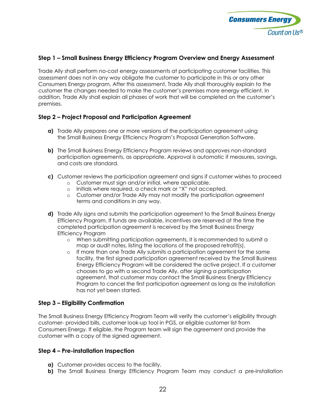

#### **Step 1 – Small Business Energy Efficiency Program Overview and Energy Assessment**

Trade Ally shall perform no-cost energy assessments at participating customer facilities. This assessment does not in any way obligate the customer to participate in this or any other Consumers Energy program. After this assessment, Trade Ally shall thoroughly explain to the customer the changes needed to make the customer's premises more energy efficient. In addition, Trade Ally shall explain all phases of work that will be completed on the customer's premises.

#### **Step 2 – Project Proposal and Participation Agreement**

- **a)** Trade Ally prepares one or more versions of the participation agreement using the Small Business Energy Efficiency Program's Proposal Generation Software.
- **b)** The Small Business Energy Efficiency Program reviews and approves non-standard participation agreements, as appropriate. Approval is automatic if measures, savings, and costs are standard.
- **c)** Customer reviews the participation agreement and signs if customer wishes to proceed
	- o Customer must sign and/or initial, where applicable.
	- o Initials where required, a check mark or "X" not accepted.
	- o Customer and/or Trade Ally may not modify the participation agreement terms and conditions in any way.
- **d)** Trade Ally signs and submits the participation agreement to the Small Business Energy Efficiency Program. If funds are available, incentives are reserved at the time the completed participation agreement is received by the Small Business Energy Efficiency Program
	- o When submitting participation agreements, it is recommended to submit a map or audit notes, listing the locations of the proposed retrofit(s).
	- o If more than one Trade Ally submits a participation agreement for the same facility, the first signed participation agreement received by the Small Business Energy Efficiency Program will be considered the active project. If a customer chooses to go with a second Trade Ally, after signing a participation agreement, that customer may contact the Small Business Energy Efficiency Program to cancel the first participation agreement as long as the installation has not yet been started.

#### **Step 3 – Eligibility Confirmation**

The Small Business Energy Efficiency Program Team will verify the customer's eligibility through customer- provided bills, customer look-up tool in PGS, or eligible customer list from Consumers Energy. If eligible, the Program team will sign the agreement and provide the customer with a copy of the signed agreement.

#### **Step 4 – Pre-installation Inspection**

- **a)** Customer provides access to the facility.
- **b)** The Small Business Energy Efficiency Program Team may conduct a pre-installation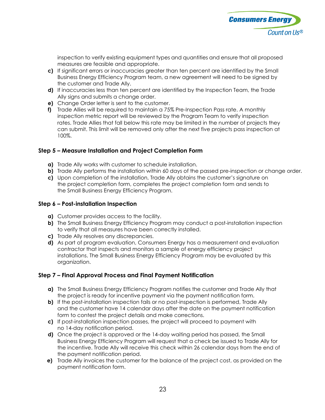

inspection to verify existing equipment types and quantities and ensure that all proposed measures are feasible and appropriate.

- **c)** If significant errors or inaccuracies greater than ten percent are identified by the Small Business Energy Efficiency Program team, a new agreement will need to be signed by the customer and Trade Ally.
- **d)** If inaccuracies less than ten percent are identified by the Inspection Team, the Trade Ally signs and submits a change order.
- **e)** Change Order letter is sent to the customer.
- **f)** Trade Allies will be required to maintain a 75% Pre-Inspection Pass rate. A monthly inspection metric report will be reviewed by the Program Team to verify inspection rates. Trade Allies that fall below this rate may be limited in the number of projects they can submit. This limit will be removed only after the next five projects pass inspection at 100%.

#### **Step 5 – Measure Installation and Project Completion Form**

- **a)** Trade Ally works with customer to schedule installation.
- **b)** Trade Ally performs the installation within 60 days of the passed pre-inspection or change order.
- **c)** Upon completion of the installation, Trade Ally obtains the customer's signature on the project completion form, completes the project completion form and sends to the Small Business Energy Efficiency Program.

#### **Step 6 – Post-installation Inspection**

- **a)** Customer provides access to the facility.
- **b)** The Small Business Energy Efficiency Program may conduct a post-installation inspection to verify that all measures have been correctly installed.
- **c)** Trade Ally resolves any discrepancies.
- **d)** As part of program evaluation, Consumers Energy has a measurement and evaluation contractor that inspects and monitors a sample of energy efficiency project installations. The Small Business Energy Efficiency Program may be evaluated by this organization.

#### **Step 7 – Final Approval Process and Final Payment Notification**

- **a)** The Small Business Energy Efficiency Program notifies the customer and Trade Ally that the project is ready for incentive payment via the payment notification form.
- **b)** If the post-installation inspection fails or no post-inspection is performed, Trade Ally and the customer have 14 calendar days after the date on the payment notification form to contest the project details and make corrections.
- **c)** If post-installation inspection passes, the project will proceed to payment with no 14-day notification period.
- **d)** Once the project is approved or the 14-day waiting period has passed, the Small Business Energy Efficiency Program will request that a check be issued to Trade Ally for the incentive. Trade Ally will receive this check within 26 calendar days from the end of the payment notification period.
- **e)** Trade Ally invoices the customer for the balance of the project cost, as provided on the payment notification form.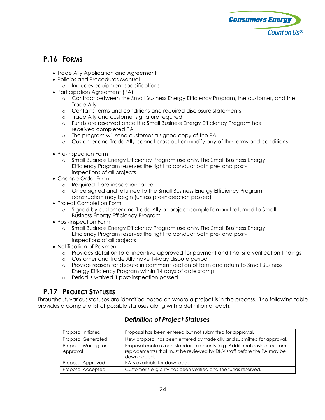

#### **P.16 FORMS**

- Trade Ally Application and Agreement
- Policies and Procedures Manual
	- o Includes equipment specifications
- Participation Agreement (PA)
	- o Contract between the Small Business Energy Efficiency Program, the customer, and the Trade Ally
	- o Contains terms and conditions and required disclosure statements
	- o Trade Ally and customer signature required
	- o Funds are reserved once the Small Business Energy Efficiency Program has received completed PA
	- o The program will send customer a signed copy of the PA
	- o Customer and Trade Ally cannot cross out or modify any of the terms and conditions
- Pre-Inspection Form
	- o Small Business Energy Efficiency Program use only. The Small Business Energy Efficiency Program reserves the right to conduct both pre- and postinspections of all projects
- Change Order Form
	- o Required if pre-inspection failed
	- o Once signed and returned to the Small Business Energy Efficiency Program, construction may begin (unless pre-inspection passed)
- Project Completion Form
	- o Signed by customer and Trade Ally at project completion and returned to Small Business Energy Efficiency Program
- Post-Inspection Form
	- o Small Business Energy Efficiency Program use only. The Small Business Energy Efficiency Program reserves the right to conduct both pre- and postinspections of all projects
- Notification of Payment
	- o Provides detail on total incentive approved for payment and final site verification findings
	- o Customer and Trade Ally have 14-day dispute period
	- o Provide reason for dispute in comment section of form and return to Small Business Energy Efficiency Program within 14 days of date stamp
	- o Period is waived if post-inspection passed

#### **P.17 PROJECT STATUSES**

<span id="page-22-0"></span>Throughout, various statuses are identified based on where a project is in the process. The following table provides a complete list of possible statuses along with a definition of each.

| Proposal Initiated               | Proposal has been entered but not submitted for approval.                                                                                                        |
|----------------------------------|------------------------------------------------------------------------------------------------------------------------------------------------------------------|
| <b>Proposal Generated</b>        | New proposal has been entered by trade ally and submitted for approval.                                                                                          |
| Proposal Waiting for<br>Approval | Proposal contains non-standard elements (e.g. Additional costs or custom<br>replacements) that must be reviewed by DNV staff before the PA may be<br>downloaded. |
| Proposal Approved                | PA is available for download.                                                                                                                                    |
| Proposal Accepted                | Customer's eligibility has been verified and the funds reserved.                                                                                                 |

#### *Definition of Project Statuses*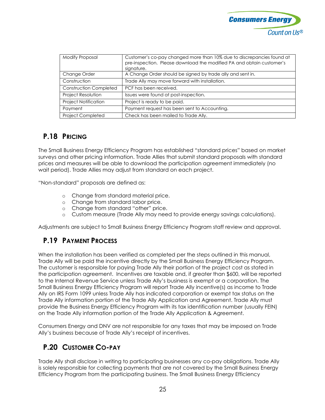

| Modify Proposal               | Customer's co-pay changed more than 10% due to discrepancies found at<br>pre-inspection. Please download the modified PA and obtain customer's<br>signature. |
|-------------------------------|--------------------------------------------------------------------------------------------------------------------------------------------------------------|
| Change Order                  | A Change Order should be signed by trade ally and sent in.                                                                                                   |
| Construction                  | Trade Ally may move forward with installation.                                                                                                               |
| <b>Construction Completed</b> | PCF has been received.                                                                                                                                       |
| Project Resolution            | Issues were found at post-inspection.                                                                                                                        |
| <b>Project Notification</b>   | Project is ready to be paid.                                                                                                                                 |
| Payment                       | Payment request has been sent to Accounting.                                                                                                                 |
| <b>Project Completed</b>      | Check has been mailed to Trade Ally.                                                                                                                         |

#### **P.18 PRICING**

The Small Business Energy Efficiency Program has established "standard prices" based on market surveys and other pricing information. Trade Allies that submit standard proposals with standard prices and measures will be able to download the participation agreement immediately (no wait period). Trade Allies may adjust from standard on each project.

"Non-standard" proposals are defined as:

- o Change from standard material price.
- o Change from standard labor price.
- o Change from standard "other" price.
- o Custom measure (Trade Ally may need to provide energy savings calculations).

<span id="page-23-0"></span>Adjustments are subject to Small Business Energy Efficiency Program staff review and approval.

#### **P.19 PAYMENT PROCESS**

When the installation has been verified as completed per the steps outlined in this manual, Trade Ally will be paid the incentive directly by the Small Business Energy Efficiency Program. The customer is responsible for paying Trade Ally their portion of the project cost as stated in the participation agreement. Incentives are taxable and, if greater than \$600, will be reported to the Internal Revenue Service unless Trade Ally's business is exempt or a corporation. The Small Business Energy Efficiency Program will report Trade Ally incentive(s) as income to Trade Ally on IRS Form 1099 unless Trade Ally has indicated corporation or exempt tax status on the Trade Ally information portion of the Trade Ally Application and Agreement. Trade Ally must provide the Business Energy Efficiency Program with its tax identification number (usually FEIN) on the Trade Ally information portion of the Trade Ally Application & Agreement.

Consumers Energy and DNV are not responsible for any taxes that may be imposed on Trade Ally's business because of Trade Ally's receipt of incentives.

### **P.20 CUSTOMER CO-PAY**

<span id="page-23-1"></span>Trade Ally shall disclose in writing to participating businesses any co-pay obligations. Trade Ally is solely responsible for collecting payments that are not covered by the Small Business Energy Efficiency Program from the participating business. The Small Business Energy Efficiency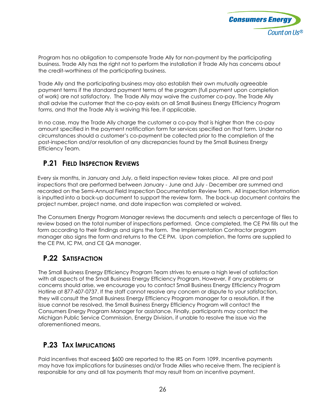

Program has no obligation to compensate Trade Ally for non-payment by the participating business. Trade Ally has the right not to perform the installation if Trade Ally has concerns about the credit-worthiness of the participating business.

Trade Ally and the participating business may also establish their own mutually agreeable payment terms if the standard payment terms of the program (full payment upon completion of work) are not satisfactory. The Trade Ally may waive the customer co-pay. The Trade Ally shall advise the customer that the co-pay exists on all Small Business Energy Efficiency Program forms, and that the Trade Ally is waiving this fee, if applicable.

In no case, may the Trade Ally charge the customer a co-pay that is higher than the co-pay amount specified in the payment notification form for services specified on that form. Under no circumstances should a customer's co-payment be collected prior to the completion of the post-inspection and/or resolution of any discrepancies found by the Small Business Energy Efficiency Team.

#### **P.21 FIELD INSPECTION REVIEWS**

<span id="page-24-0"></span>Every six months, in January and July, a field inspection review takes place. All pre and post inspections that are performed between January - June and July - December are summed and recorded on the Semi-Annual Field Inspection Documentation Review form. All inspection information is inputted into a back-up document to support the review form. The back-up document contains the project number, project name, and date inspection was completed or waived.

The Consumers Energy Program Manager reviews the documents and selects a percentage of files to review based on the total number of inspections performed. Once completed, the CE PM fills out the form according to their findings and signs the form. The Implementation Contractor program manager also signs the form and returns to the CE PM. Upon completion, the forms are supplied to the CE PM, IC PM, and CE QA manager.

#### **P.22 SATISFACTION**

The Small Business Energy Efficiency Program Team strives to ensure a high level of satisfaction with all aspects of the Small Business Energy Efficiency Program. However, if any problems or concerns should arise, we encourage you to contact Small Business Energy Efficiency Program Hotline at 877-607-0737. If the staff cannot resolve any concern or dispute to your satisfaction, they will consult the Small Business Energy Efficiency Program manager for a resolution. If the issue cannot be resolved, the Small Business Energy Efficiency Program will contact the Consumers Energy Program Manager for assistance. Finally, participants may contact the Michigan Public Service Commission, Energy Division, if unable to resolve the issue via the aforementioned means.

#### **P.23 TAX IMPLICATIONS**

<span id="page-24-1"></span>Paid incentives that exceed \$600 are reported to the IRS on Form 1099. Incentive payments may have tax implications for businesses and/or Trade Allies who receive them. The recipient is responsible for any and all tax payments that may result from an incentive payment.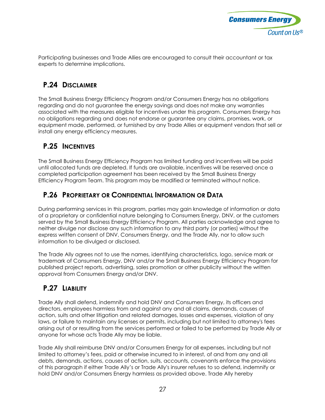

<span id="page-25-0"></span>Participating businesses and Trade Allies are encouraged to consult their accountant or tax experts to determine implications.

#### **P.24 DISCLAIMER**

The Small Business Energy Efficiency Program and/or Consumers Energy has no obligations regarding and do not guarantee the energy savings and does not make any warranties associated with the measures eligible for incentives under this program. Consumers Energy has no obligations regarding and does not endorse or guarantee any claims, promises, work, or equipment made, performed, or furnished by any Trade Allies or equipment vendors that sell or install any energy efficiency measures.

#### **P.25 INCENTIVES**

<span id="page-25-1"></span>The Small Business Energy Efficiency Program has limited funding and incentives will be paid until allocated funds are depleted. If funds are available, incentives will be reserved once a completed participation agreement has been received by the Small Business Energy Efficiency Program Team. This program may be modified or terminated without notice.

#### **P.26 PROPRIETARY OR CONFIDENTIAL INFORMATION OR DATA**

<span id="page-25-2"></span>During performing services in this program, parties may gain knowledge of information or data of a proprietary or confidential nature belonging to Consumers Energy, DNV, or the customers served by the Small Business Energy Efficiency Program. All parties acknowledge and agree to neither divulge nor disclose any such information to any third party (or parties) without the express written consent of DNV, Consumers Energy, and the Trade Ally, nor to allow such information to be divulged or disclosed.

The Trade Ally agrees not to use the names, identifying characteristics, logo, service mark or trademark of Consumers Energy, DNV and/or the Small Business Energy Efficiency Program for published project reports, advertising, sales promotion or other publicity without the written approval from Consumers Energy and/or DNV.

### <span id="page-25-3"></span>**P.27 LIABILITY**

Trade Ally shall defend, indemnify and hold DNV and Consumers Energy, its officers and directors, employees harmless from and against any and all claims, demands, causes of action, suits and other litigation and related damages, losses and expenses, violation of any laws, or failure to maintain any licenses or permits, including but not limited to attorney's fees arising out of or resulting from the services performed or failed to be performed by Trade Ally or anyone for whose acts Trade Ally may be liable.

Trade Ally shall reimburse DNV and/or Consumers Energy for all expenses, including but not limited to attorney's fees, paid or otherwise incurred to in interest, of and from any and all debts, demands, actions, causes of action, suits, accounts, covenants enforce the provisions of this paragraph if either Trade Ally's or Trade Ally's insurer refuses to so defend, indemnify or hold DNV and/or Consumers Energy harmless as provided above. Trade Ally hereby